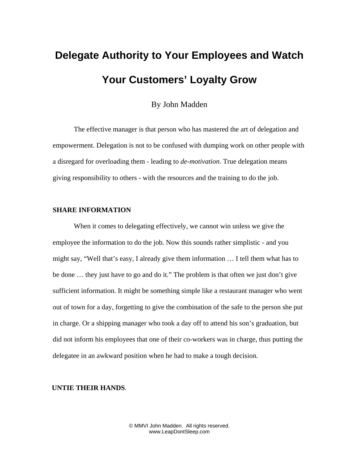## **Delegate Authority to Your Employees and Watch Your Customers' Loyalty Grow**

By John Madden

The effective manager is that person who has mastered the art of delegation and empowerment. Delegation is not to be confused with dumping work on other people with a disregard for overloading them - leading to *de-motivation*. True delegation means giving responsibility to others - with the resources and the training to do the job.

## **SHARE INFORMATION**

When it comes to delegating effectively, we cannot win unless we give the employee the information to do the job. Now this sounds rather simplistic - and you might say, "Well that's easy, I already give them information … I tell them what has to be done … they just have to go and do it." The problem is that often we just don't give sufficient information. It might be something simple like a restaurant manager who went out of town for a day, forgetting to give the combination of the safe to the person she put in charge. Or a shipping manager who took a day off to attend his son's graduation, but did not inform his employees that one of their co-workers was in charge, thus putting the delegatee in an awkward position when he had to make a tough decision.

## **UNTIE THEIR HANDS**.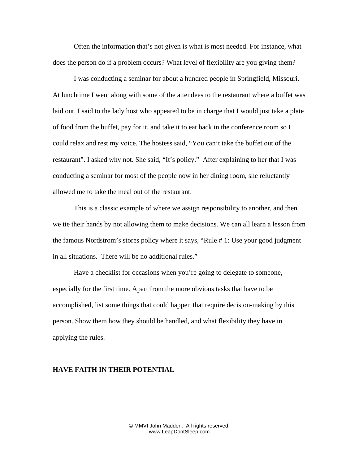Often the information that's not given is what is most needed. For instance, what does the person do if a problem occurs? What level of flexibility are you giving them?

I was conducting a seminar for about a hundred people in Springfield, Missouri. At lunchtime I went along with some of the attendees to the restaurant where a buffet was laid out. I said to the lady host who appeared to be in charge that I would just take a plate of food from the buffet, pay for it, and take it to eat back in the conference room so I could relax and rest my voice. The hostess said, "You can't take the buffet out of the restaurant". I asked why not. She said, "It's policy." After explaining to her that I was conducting a seminar for most of the people now in her dining room, she reluctantly allowed me to take the meal out of the restaurant.

This is a classic example of where we assign responsibility to another, and then we tie their hands by not allowing them to make decisions. We can all learn a lesson from the famous Nordstrom's stores policy where it says, "Rule # 1: Use your good judgment in all situations. There will be no additional rules."

Have a checklist for occasions when you're going to delegate to someone, especially for the first time. Apart from the more obvious tasks that have to be accomplished, list some things that could happen that require decision-making by this person. Show them how they should be handled, and what flexibility they have in applying the rules.

## **HAVE FAITH IN THEIR POTENTIAL**